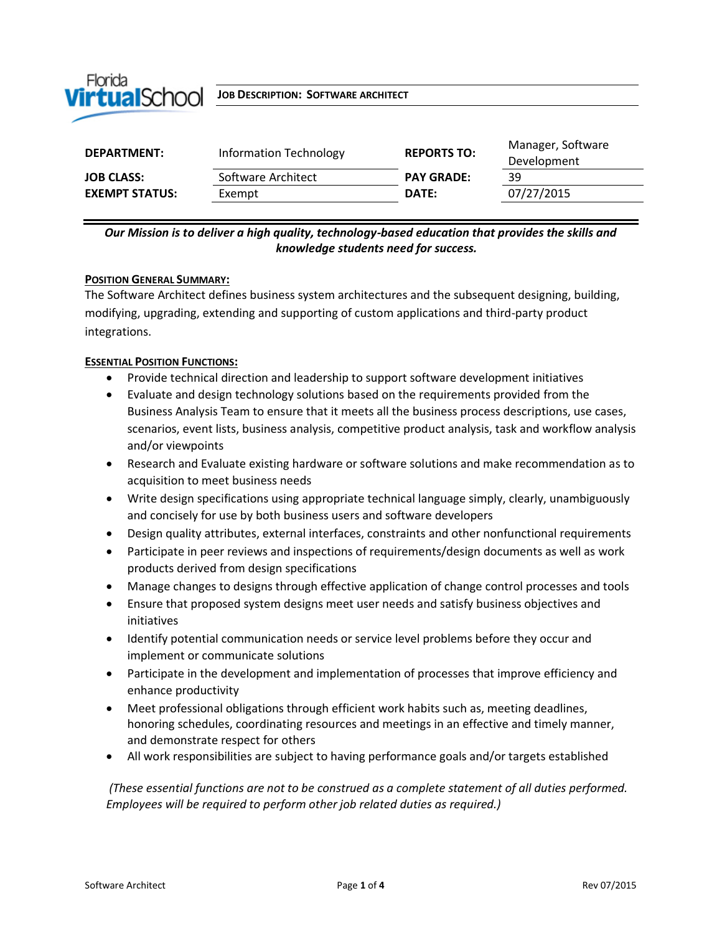

 $V$ **irtualSchool** Job Description: Software architect

| DEPARTMENT:           | Information Technology | <b>REPORTS TO:</b> | Manager, Software<br>Development |
|-----------------------|------------------------|--------------------|----------------------------------|
| <b>JOB CLASS:</b>     | Software Architect     | <b>PAY GRADE:</b>  | 39                               |
| <b>EXEMPT STATUS:</b> | Exempt                 | DATE:              | 07/27/2015                       |
|                       |                        |                    |                                  |

## *Our Mission is to deliver a high quality, technology-based education that provides the skills and knowledge students need for success.*

#### **POSITION GENERAL SUMMARY:**

The Software Architect defines business system architectures and the subsequent designing, building, modifying, upgrading, extending and supporting of custom applications and third-party product integrations.

#### **ESSENTIAL POSITION FUNCTIONS:**

- Provide technical direction and leadership to support software development initiatives
- Evaluate and design technology solutions based on the requirements provided from the Business Analysis Team to ensure that it meets all the business process descriptions, use cases, scenarios, event lists, business analysis, competitive product analysis, task and workflow analysis and/or viewpoints
- Research and Evaluate existing hardware or software solutions and make recommendation as to acquisition to meet business needs
- Write design specifications using appropriate technical language simply, clearly, unambiguously and concisely for use by both business users and software developers
- Design quality attributes, external interfaces, constraints and other nonfunctional requirements
- Participate in peer reviews and inspections of requirements/design documents as well as work products derived from design specifications
- Manage changes to designs through effective application of change control processes and tools
- Ensure that proposed system designs meet user needs and satisfy business objectives and initiatives
- Identify potential communication needs or service level problems before they occur and implement or communicate solutions
- Participate in the development and implementation of processes that improve efficiency and enhance productivity
- Meet professional obligations through efficient work habits such as, meeting deadlines, honoring schedules, coordinating resources and meetings in an effective and timely manner, and demonstrate respect for others
- All work responsibilities are subject to having performance goals and/or targets established

*(These essential functions are not to be construed as a complete statement of all duties performed. Employees will be required to perform other job related duties as required.)*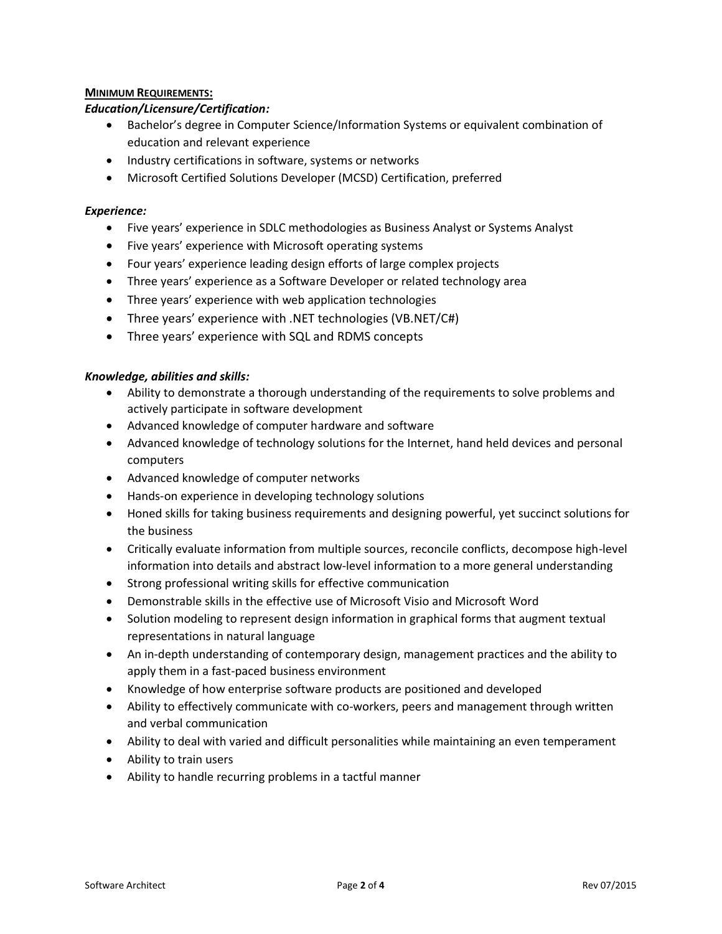### **MINIMUM REQUIREMENTS:**

#### *Education/Licensure/Certification:*

- Bachelor's degree in Computer Science/Information Systems or equivalent combination of education and relevant experience
- Industry certifications in software, systems or networks
- Microsoft Certified Solutions Developer (MCSD) Certification, preferred

#### *Experience:*

- Five years' experience in SDLC methodologies as Business Analyst or Systems Analyst
- Five years' experience with Microsoft operating systems
- Four years' experience leading design efforts of large complex projects
- Three years' experience as a Software Developer or related technology area
- Three years' experience with web application technologies
- Three years' experience with .NET technologies (VB.NET/C#)
- Three years' experience with SQL and RDMS concepts

#### *Knowledge, abilities and skills:*

- Ability to demonstrate a thorough understanding of the requirements to solve problems and actively participate in software development
- Advanced knowledge of computer hardware and software
- Advanced knowledge of technology solutions for the Internet, hand held devices and personal computers
- Advanced knowledge of computer networks
- Hands-on experience in developing technology solutions
- Honed skills for taking business requirements and designing powerful, yet succinct solutions for the business
- Critically evaluate information from multiple sources, reconcile conflicts, decompose high-level information into details and abstract low-level information to a more general understanding
- Strong professional writing skills for effective communication
- Demonstrable skills in the effective use of Microsoft Visio and Microsoft Word
- Solution modeling to represent design information in graphical forms that augment textual representations in natural language
- An in-depth understanding of contemporary design, management practices and the ability to apply them in a fast-paced business environment
- Knowledge of how enterprise software products are positioned and developed
- Ability to effectively communicate with co-workers, peers and management through written and verbal communication
- Ability to deal with varied and difficult personalities while maintaining an even temperament
- Ability to train users
- Ability to handle recurring problems in a tactful manner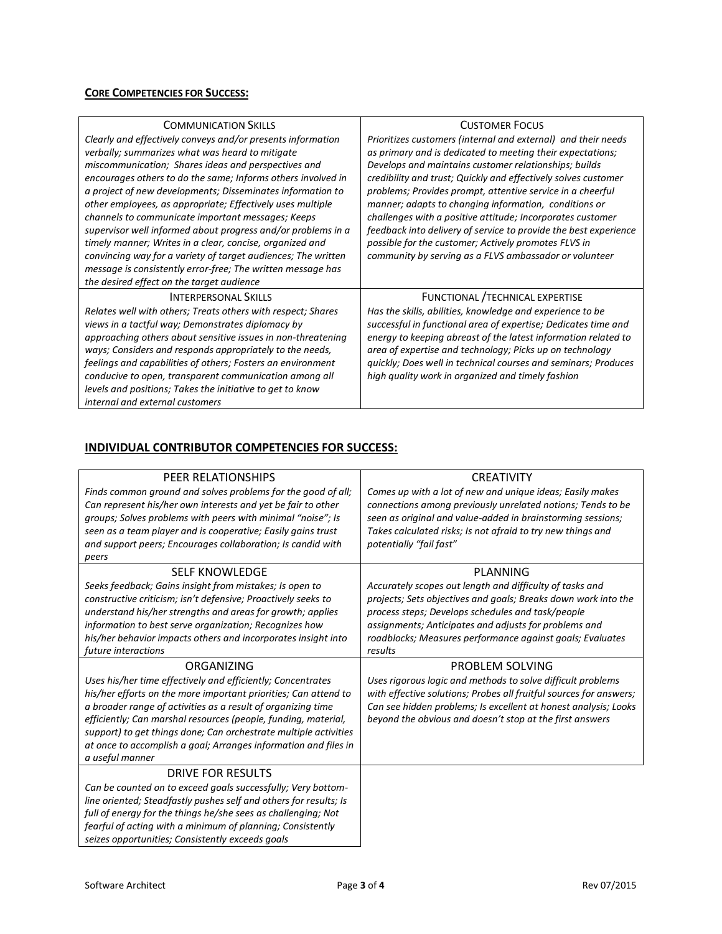# **CORE COMPETENCIES FOR SUCCESS:**

| <b>COMMUNICATION SKILLS</b>                                   | <b>CUSTOMER FOCUS</b>                                            |  |
|---------------------------------------------------------------|------------------------------------------------------------------|--|
| Clearly and effectively conveys and/or presents information   | Prioritizes customers (internal and external) and their needs    |  |
| verbally; summarizes what was heard to mitigate               | as primary and is dedicated to meeting their expectations;       |  |
| miscommunication; Shares ideas and perspectives and           | Develops and maintains customer relationships; builds            |  |
| encourages others to do the same; Informs others involved in  | credibility and trust; Quickly and effectively solves customer   |  |
| a project of new developments; Disseminates information to    | problems; Provides prompt, attentive service in a cheerful       |  |
| other employees, as appropriate; Effectively uses multiple    | manner; adapts to changing information, conditions or            |  |
| channels to communicate important messages; Keeps             | challenges with a positive attitude; Incorporates customer       |  |
| supervisor well informed about progress and/or problems in a  | feedback into delivery of service to provide the best experience |  |
| timely manner; Writes in a clear, concise, organized and      | possible for the customer; Actively promotes FLVS in             |  |
| convincing way for a variety of target audiences; The written | community by serving as a FLVS ambassador or volunteer           |  |
| message is consistently error-free; The written message has   |                                                                  |  |
| the desired effect on the target audience                     |                                                                  |  |
| <b>INTERPERSONAL SKILLS</b>                                   | FUNCTIONAL / TECHNICAL EXPERTISE                                 |  |
| Relates well with others; Treats others with respect; Shares  | Has the skills, abilities, knowledge and experience to be        |  |
| views in a tactful way; Demonstrates diplomacy by             | successful in functional area of expertise; Dedicates time and   |  |
| approaching others about sensitive issues in non-threatening  | energy to keeping abreast of the latest information related to   |  |
| ways; Considers and responds appropriately to the needs,      | area of expertise and technology; Picks up on technology         |  |
| feelings and capabilities of others; Fosters an environment   | quickly; Does well in technical courses and seminars; Produces   |  |
| conducive to open, transparent communication among all        | high quality work in organized and timely fashion                |  |
| levels and positions; Takes the initiative to get to know     |                                                                  |  |
| internal and external customers                               |                                                                  |  |

#### **INDIVIDUAL CONTRIBUTOR COMPETENCIES FOR SUCCESS:**

| PEER RELATIONSHIPS                                                | <b>CREATIVITY</b>                                                  |
|-------------------------------------------------------------------|--------------------------------------------------------------------|
| Finds common ground and solves problems for the good of all;      | Comes up with a lot of new and unique ideas; Easily makes          |
| Can represent his/her own interests and yet be fair to other      | connections among previously unrelated notions; Tends to be        |
| groups; Solves problems with peers with minimal "noise"; Is       | seen as original and value-added in brainstorming sessions;        |
| seen as a team player and is cooperative; Easily gains trust      | Takes calculated risks; Is not afraid to try new things and        |
| and support peers; Encourages collaboration; Is candid with       | potentially "fail fast"                                            |
| peers                                                             |                                                                    |
| <b>SELF KNOWLEDGE</b>                                             | PLANNING                                                           |
| Seeks feedback; Gains insight from mistakes; Is open to           | Accurately scopes out length and difficulty of tasks and           |
| constructive criticism; isn't defensive; Proactively seeks to     | projects; Sets objectives and goals; Breaks down work into the     |
| understand his/her strengths and areas for growth; applies        | process steps; Develops schedules and task/people                  |
| information to best serve organization; Recognizes how            | assignments; Anticipates and adjusts for problems and              |
| his/her behavior impacts others and incorporates insight into     | roadblocks; Measures performance against goals; Evaluates          |
| future interactions                                               | results                                                            |
| ORGANIZING                                                        | PROBLEM SOLVING                                                    |
| Uses his/her time effectively and efficiently; Concentrates       | Uses rigorous logic and methods to solve difficult problems        |
| his/her efforts on the more important priorities; Can attend to   | with effective solutions; Probes all fruitful sources for answers; |
| a broader range of activities as a result of organizing time      | Can see hidden problems; Is excellent at honest analysis; Looks    |
| efficiently; Can marshal resources (people, funding, material,    | beyond the obvious and doesn't stop at the first answers           |
| support) to get things done; Can orchestrate multiple activities  |                                                                    |
| at once to accomplish a goal; Arranges information and files in   |                                                                    |
| a useful manner                                                   |                                                                    |
| DRIVE FOR RESULTS                                                 |                                                                    |
| Can be counted on to exceed goals successfully; Very bottom-      |                                                                    |
| line oriented; Steadfastly pushes self and others for results; Is |                                                                    |
| full of energy for the things he/she sees as challenging; Not     |                                                                    |
| fearful of acting with a minimum of planning; Consistently        |                                                                    |
| seizes opportunities; Consistently exceeds goals                  |                                                                    |